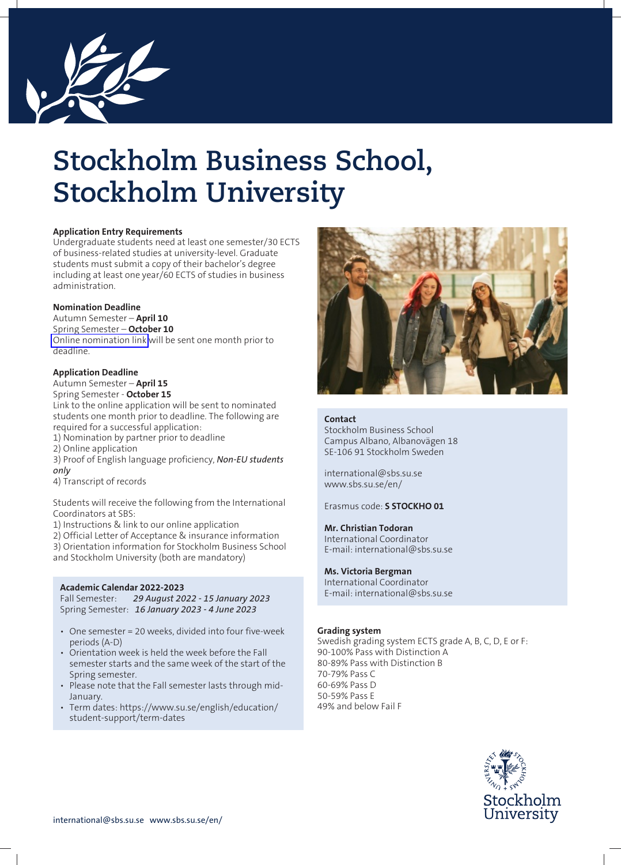

# **Stockholm Business School, Stockholm University**

## **Application Entry Requirements**

Undergraduate students need at least one semester/30 ECTS of business-related studies at university-level. Graduate students must submit a copy of their bachelor's degree including at least one year/60 ECTS of studies in business administration.

## **Nomination Deadline**

Autumn Semester – **April 10** Spring Semester – **October 10** [Online nomination link](https://survey.su.se/Survey/45220) will be sent one month prior to deadline.

## **Application Deadline**

## Autumn Semester – **April 15**

Spring Semester - **October 15** Link to the online application will be sent to nominated students one month prior to deadline. The following are required for a successful application:

- 1) Nomination by partner prior to deadline
- 2) Online application
- 3) Proof of English language proficiency, *Non-EU students only*
- 4) Transcript of records

Students will receive the following from the International Coordinators at SBS:

1) Instructions & link to our online application

2) Official Letter of Acceptance & insurance information 3) Orientation information for Stockholm Business School and Stockholm University (both are mandatory)

## **Academic Calendar 2022-2023**

Fall Semester: *29 August 2022 - 15 January 2023* Spring Semester: *16 January 2023 - 4 June 2023*

- One semester = 20 weeks, divided into four five-week periods (A-D)
- Orientation week is held the week before the Fall semester starts and the same week of the start of the Spring semester.
- Please note that the Fall semester lasts through mid-January.
- Term dates: https://www.su.se/english/education/ student-support/term-dates



## **Contact**

Stockholm Business School Campus Albano, Albanovägen 18 SE-106 91 Stockholm Sweden

international@sbs.su.se www.sbs.su.se/en/

## Erasmus code: **S STOCKHO 01**

## **Mr. Christian Todoran**

International Coordinator E-mail: international@sbs.su.se

## **Ms. Victoria Bergman**

International Coordinator E-mail: international@sbs.su.se

## **Grading system**

Swedish grading system ECTS grade A, B, C, D, E or F: 90-100% Pass with Distinction A 80-89% Pass with Distinction B 70-79% Pass C 60-69% Pass D 50-59% Pass E 49% and below Fail F